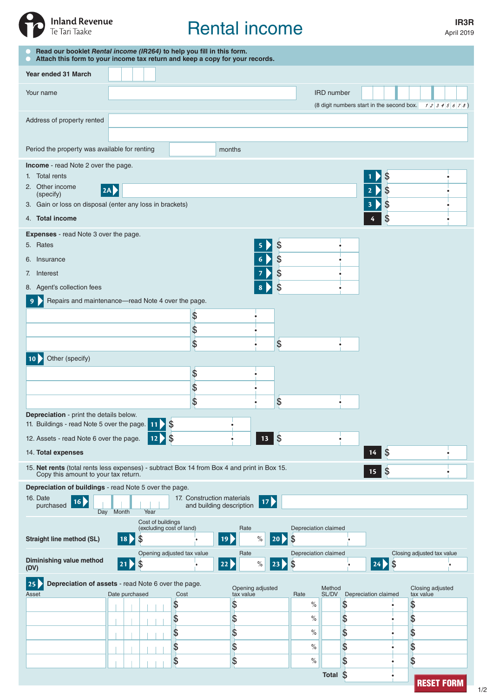

# Rental income

April 2019

| Read our booklet Rental income (IR264) to help you fill in this form.<br>Attach this form to your income tax return and keep a copy for your records.               |                                         |      |                                               |    |                          |      |                    |                            |                   |    |                                           |                            |                   |
|---------------------------------------------------------------------------------------------------------------------------------------------------------------------|-----------------------------------------|------|-----------------------------------------------|----|--------------------------|------|--------------------|----------------------------|-------------------|----|-------------------------------------------|----------------------------|-------------------|
| Year ended 31 March                                                                                                                                                 |                                         |      |                                               |    |                          |      |                    |                            |                   |    |                                           |                            |                   |
| Your name                                                                                                                                                           |                                         |      |                                               |    |                          |      |                    |                            | <b>IRD</b> number |    |                                           |                            |                   |
|                                                                                                                                                                     |                                         |      |                                               |    |                          |      |                    |                            |                   |    | (8 digit numbers start in the second box. |                            | 12345678)         |
| Address of property rented                                                                                                                                          |                                         |      |                                               |    |                          |      |                    |                            |                   |    |                                           |                            |                   |
|                                                                                                                                                                     |                                         |      |                                               |    |                          |      |                    |                            |                   |    |                                           |                            |                   |
| Period the property was available for renting                                                                                                                       |                                         |      |                                               |    | months                   |      |                    |                            |                   |    |                                           |                            |                   |
| Income - read Note 2 over the page.<br>1. Total rents                                                                                                               |                                         |      |                                               |    |                          |      |                    |                            |                   |    |                                           |                            |                   |
| 2. Other income<br> 2A                                                                                                                                              |                                         |      |                                               |    |                          |      |                    |                            |                   |    | \$<br>\$<br>$\overline{2}$                |                            |                   |
| (specify)<br>3. Gain or loss on disposal (enter any loss in brackets)                                                                                               |                                         |      |                                               |    |                          |      |                    |                            |                   |    | \$<br>3                                   |                            |                   |
| 4. Total income                                                                                                                                                     |                                         |      |                                               |    |                          |      |                    |                            |                   |    | \$                                        |                            |                   |
| <b>Expenses</b> - read Note 3 over the page.                                                                                                                        |                                         |      |                                               |    |                          |      |                    |                            |                   |    |                                           |                            |                   |
| 5. Rates                                                                                                                                                            |                                         |      |                                               |    |                          |      | \$                 |                            |                   |    |                                           |                            |                   |
| 6. Insurance                                                                                                                                                        |                                         |      |                                               |    |                          |      | \$                 |                            |                   |    |                                           |                            |                   |
| 7. Interest                                                                                                                                                         |                                         |      |                                               |    |                          |      | \$                 |                            |                   |    |                                           |                            |                   |
| \$<br>8. Agent's collection fees<br>Repairs and maintenance-read Note 4 over the page.                                                                              |                                         |      |                                               |    |                          |      |                    |                            |                   |    |                                           |                            |                   |
|                                                                                                                                                                     |                                         |      |                                               | \$ |                          |      |                    |                            |                   |    |                                           |                            |                   |
|                                                                                                                                                                     |                                         |      |                                               | \$ |                          |      |                    |                            |                   |    |                                           |                            |                   |
|                                                                                                                                                                     |                                         |      |                                               | \$ |                          |      | \$                 |                            |                   |    |                                           |                            |                   |
| Other (specify)                                                                                                                                                     |                                         |      |                                               |    |                          |      |                    |                            |                   |    |                                           |                            |                   |
|                                                                                                                                                                     |                                         |      |                                               | \$ |                          |      |                    |                            |                   |    |                                           |                            |                   |
|                                                                                                                                                                     |                                         |      |                                               | \$ |                          |      |                    |                            |                   |    |                                           |                            |                   |
|                                                                                                                                                                     |                                         |      |                                               | \$ |                          |      | \$                 |                            |                   |    |                                           |                            |                   |
|                                                                                                                                                                     | Depreciation - print the details below. |      |                                               |    |                          |      |                    |                            |                   |    |                                           |                            |                   |
| $\frac{1}{2}$<br>11. Buildings - read Note 5 over the page. 11<br>$13 \overline{\smash{\big)}\,}$<br>$\frac{3}{2}$<br>12. Assets - read Note 6 over the page.<br>12 |                                         |      |                                               |    |                          |      |                    |                            |                   |    |                                           |                            |                   |
| 14. Total expenses                                                                                                                                                  |                                         |      |                                               |    |                          |      |                    |                            |                   |    | $\mathcal{S}$<br>14                       |                            |                   |
| 15. Net rents (total rents less expenses) - subtract Box 14 from Box 4 and print in Box 15.                                                                         |                                         |      |                                               |    |                          |      |                    |                            |                   |    | $\boldsymbol{\mathsf{S}}$<br>15           |                            |                   |
| Copy this amount to your tax return.<br>Depreciation of buildings - read Note 5 over the page.                                                                      |                                         |      |                                               |    |                          |      |                    |                            |                   |    |                                           |                            |                   |
| 16. Date<br>17. Construction materials<br>17)<br>16)                                                                                                                |                                         |      |                                               |    |                          |      |                    |                            |                   |    |                                           |                            |                   |
| purchased                                                                                                                                                           | Day Month                               | Year |                                               |    | and building description |      |                    |                            |                   |    |                                           |                            |                   |
|                                                                                                                                                                     |                                         |      | Cost of buildings<br>(excluding cost of land) |    | Rate                     |      |                    | Depreciation claimed       |                   |    |                                           |                            |                   |
| <b>Straight line method (SL)</b>                                                                                                                                    | 18                                      | \$   |                                               |    | 19 <sup>2</sup>          | $\%$ | <b>20 D</b>        | \$                         |                   |    |                                           |                            |                   |
| Diminishing value method<br>(DV)                                                                                                                                    | $ 21\rangle$                            | \$   | Opening adjusted tax value                    |    | Rate<br>22               | $\%$ | $\vert$ 23 $\vert$ | Depreciation claimed<br>\$ |                   |    | $\sqrt{3}$<br>$ 24\rangle$                | Closing adjusted tax value |                   |
| Depreciation of assets - read Note 6 over the page.<br>25<br>Opening adjusted<br>Method                                                                             |                                         |      |                                               |    |                          |      |                    |                            |                   |    |                                           | Closing adjusted           |                   |
| Asset                                                                                                                                                               | Date purchased                          |      | Cost<br>\$                                    |    | tax value<br>\$          |      |                    | Rate<br>$\%$               | SL/DV             | \$ | Depreciation claimed                      | tax value<br>\$            |                   |
|                                                                                                                                                                     |                                         |      | \$                                            |    | \$                       |      |                    | $\%$                       |                   | \$ |                                           | \$                         |                   |
|                                                                                                                                                                     |                                         |      | \$                                            |    | \$                       |      |                    | $\%$                       |                   | \$ |                                           | \$                         |                   |
|                                                                                                                                                                     |                                         |      | \$                                            |    | \$                       |      |                    | $\%$                       |                   | \$ |                                           | \$                         |                   |
|                                                                                                                                                                     |                                         |      | \$                                            |    | \$                       |      |                    | $\%$                       |                   | \$ |                                           | \$                         |                   |
|                                                                                                                                                                     |                                         |      |                                               |    |                          |      |                    |                            | Total $$$         |    |                                           |                            | <b>RESET FORM</b> |
|                                                                                                                                                                     |                                         |      |                                               |    |                          |      |                    |                            |                   |    |                                           |                            |                   |